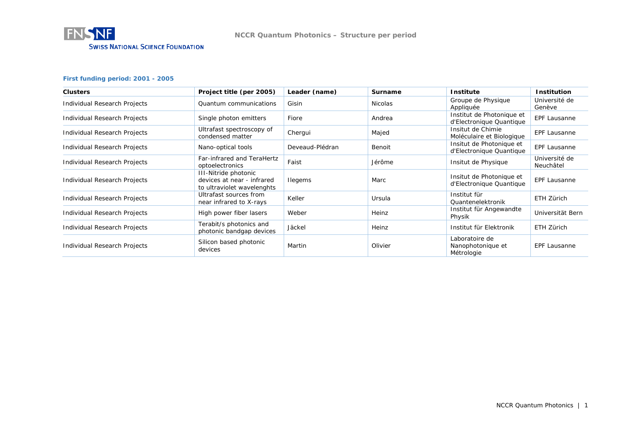

### **First funding period: 2001 - 2005**

| <b>Clusters</b>              | Project title (per 2005)                                                         | Leader (name)   | <b>Surname</b> | <b>Institute</b>                                      | <b>Institution</b>         |
|------------------------------|----------------------------------------------------------------------------------|-----------------|----------------|-------------------------------------------------------|----------------------------|
| Individual Research Projects | Quantum communications                                                           | Gisin           | Nicolas        | Groupe de Physique<br>Appliquée                       | Université de<br>Genève    |
| Individual Research Projects | Single photon emitters                                                           | Fiore           | Andrea         | Institut de Photonique et<br>d'Electronique Quantique | EPF Lausanne               |
| Individual Research Projects | Ultrafast spectroscopy of<br>condensed matter                                    | Chergui         | Majed          | Insitut de Chimie<br>Moléculaire et Biologique        | EPF Lausanne               |
| Individual Research Projects | Nano-optical tools                                                               | Deveaud-Plédran | Benoit         | Insitut de Photonique et<br>d'Electronique Quantique  | EPF Lausanne               |
| Individual Research Projects | Far-infrared and TeraHertz<br>optoelectronics                                    | Faist           | Jérôme         | Insitut de Physique                                   | Université de<br>Neuchâtel |
| Individual Research Projects | III-Nitride photonic<br>devices at near - infrared<br>to ultraviolet wavelenghts | <b>Ilegems</b>  | Marc           | Insitut de Photonique et<br>d'Electronique Quantique  | <b>EPF Lausanne</b>        |
| Individual Research Projects | Ultrafast sources from<br>near infrared to X-rays                                | Keller          | Ursula         | Institut für<br>Quantenelektronik                     | ETH Zürich                 |
| Individual Research Projects | High power fiber lasers                                                          | Weber           | Heinz          | Institut für Angewandte<br>Physik                     | Universität Bern           |
| Individual Research Projects | Terabit/s photonics and<br>photonic bandgap devices                              | Jäckel          | Heinz          | Institut für Elektronik                               | ETH Zürich                 |
| Individual Research Projects | Silicon based photonic<br>devices                                                | Martin          | Olivier        | Laboratoire de<br>Nanophotonique et<br>Métrologie     | <b>EPF Lausanne</b>        |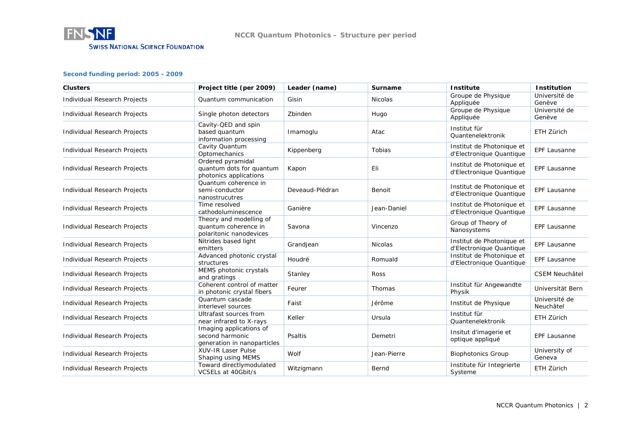

#### **Second funding period: 2005 - 2009**

| <b>Clusters</b>                     | Project title (per 2009)                                                   | Leader (name)   | Surname        | <b>Institute</b>                                      | <b>Institution</b>         |
|-------------------------------------|----------------------------------------------------------------------------|-----------------|----------------|-------------------------------------------------------|----------------------------|
| Individual Research Projects        | Quantum communication                                                      | Gisin           | <b>Nicolas</b> | Groupe de Physique<br>Appliquée                       | Université de<br>Genève    |
| Individual Research Projects        | Single photon detectors                                                    | Zbinden         | Hugo           | Groupe de Physique<br>Appliquée                       | Université de<br>Genève    |
| Individual Research Projects        | Cavity-QED and spin<br>based quantum<br>information processing             | Imamoglu        | Atac           | Institut für<br>Quantenelektronik                     | ETH Zürich                 |
| Individual Research Projects        | Cavity Quantum<br>Optomechanics                                            | Kippenberg      | Tobias         | Institut de Photonique et<br>d'Electronique Quantique | <b>EPF Lausanne</b>        |
| Individual Research Projects        | Ordered pyramidal<br>quantum dots for quantum<br>photonics applications    | Kapon           | Eli            | Institut de Photonique et<br>d'Electronique Quantique | <b>EPF Lausanne</b>        |
| Individual Research Projects        | Quantum coherence in<br>semi-conductor<br>nanostrucutres                   | Deveaud-Plédran | Benoit         | Institut de Photonique et<br>d'Electronique Quantique | EPF Lausanne               |
| Individual Research Projects        | Time resolved<br>cathodoluminescence                                       | Ganière         | Jean-Daniel    | Institut de Photonique et<br>d'Electronique Quantique | <b>EPF Lausanne</b>        |
| Individual Research Projects        | Theory and modelling of<br>quantum coherence in<br>polaritonic nanodevices | Savona          | Vincenzo       | Group of Theory of<br>Nanosystems                     | <b>EPF Lausanne</b>        |
| Individual Research Projects        | Nitrides based light<br>emitters                                           | Grandjean       | <b>Nicolas</b> | Institut de Photonique et<br>d'Electronique Quantique | <b>EPF Lausanne</b>        |
| Individual Research Projects        | Advanced photonic crystal<br>structures                                    | Houdré          | Romuald        | Institut de Photonique et<br>d'Electronique Quantique | <b>EPF Lausanne</b>        |
| Individual Research Projects        | MEMS photonic crystals<br>and gratings                                     | Stanley         | Ross           |                                                       | <b>CSEM Neuchâtel</b>      |
| <b>Individual Research Projects</b> | Coherent control of matter<br>in photonic crystal fibers                   | Feurer          | Thomas         | Institut für Angewandte<br>Physik                     | Universität Bern           |
| <b>Individual Research Projects</b> | Quantum cascade<br>interlevel sources                                      | Faist           | Jérôme         | Institut de Physique                                  | Université de<br>Neuchâtel |
| Individual Research Projects        | Ultrafast sources from<br>near infrared to X-rays                          | Keller          | Ursula         | Institut für<br>Quantenelektronik                     | ETH Zürich                 |
| Individual Research Projects        | Imaging applications of<br>second harmonic<br>generation in nanoparticles  | Psaltis         | Demetri        | Insitut d'imagerie et<br>optique appliqué             | <b>EPF Lausanne</b>        |
| Individual Research Projects        | XUV-IR Laser Pulse<br>Shaping using MEMS                                   | Wolf            | Jean-Pierre    | <b>Biophotonics Group</b>                             | University of<br>Geneva    |
| Individual Research Projects        | Toward directlymodulated<br>VCSELs at 40Gbit/s                             | Witzigmann      | Bernd          | Institute für Integrierte<br>Systeme                  | ETH Zürich                 |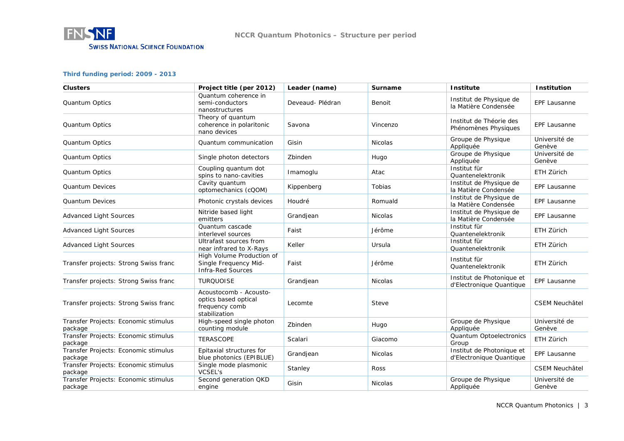

### **Third funding period: 2009 - 2013**

| <b>Clusters</b>                                 | Project title (per 2012)                                                          | Leader (name)    | <b>Surname</b> | <b>Institute</b>                                      | <b>Institution</b>      |
|-------------------------------------------------|-----------------------------------------------------------------------------------|------------------|----------------|-------------------------------------------------------|-------------------------|
| Quantum Optics                                  | Quantum coherence in<br>semi-conductors<br>nanostructures                         | Deveaud- Plédran | Benoit         | Institut de Physique de<br>la Matière Condensée       | <b>EPF Lausanne</b>     |
| Quantum Optics                                  | Theory of quantum<br>coherence in polaritonic<br>nano devices                     | Savona           | Vincenzo       | Institut de Théorie des<br>Phénomènes Physiques       | <b>EPF Lausanne</b>     |
| Quantum Optics                                  | Quantum communication                                                             | Gisin            | <b>Nicolas</b> | Groupe de Physique<br>Appliquée                       | Université de<br>Genève |
| Quantum Optics                                  | Single photon detectors                                                           | Zbinden          | Hugo           | Groupe de Physique<br>Appliquée                       | Université de<br>Genève |
| Quantum Optics                                  | Coupling quantum dot<br>spins to nano-cavities                                    | Imamoglu         | Atac           | Institut für<br>Quantenelektronik                     | ETH Zürich              |
| Quantum Devices                                 | Cavity quantum<br>optomechanics (cQOM)                                            | Kippenberg       | Tobias         | Institut de Physique de<br>la Matière Condensée       | EPF Lausanne            |
| <b>Quantum Devices</b>                          | Photonic crystals devices                                                         | Houdré           | Romuald        | Institut de Physique de<br>la Matière Condensée       | EPF Lausanne            |
| <b>Advanced Light Sources</b>                   | Nitride based light<br>emitters                                                   | Grandjean        | <b>Nicolas</b> | Institut de Physique de<br>la Matière Condensée       | <b>EPF Lausanne</b>     |
| <b>Advanced Light Sources</b>                   | Quantum cascade<br>interlevel sources                                             | Faist            | Jérôme         | Institut für<br>Quantenelektronik                     | ETH Zürich              |
| <b>Advanced Light Sources</b>                   | Ultrafast sources from<br>near infrared to X-Rays                                 | Keller           | Ursula         | Institut für<br>Quantenelektronik                     | ETH Zürich              |
| Transfer projects: Strong Swiss franc           | High Volume Production of<br>Single Frequency Mid-<br><b>Infra-Red Sources</b>    | Faist            | Jérôme         | Institut für<br>Quantenelektronik                     | ETH Zürich              |
| Transfer projects: Strong Swiss franc           | <b>TURQUOISE</b>                                                                  | Grandjean        | Nicolas        | Institut de Photonique et<br>d'Electronique Quantique | <b>EPF Lausanne</b>     |
| Transfer projects: Strong Swiss franc           | Acoustocomb - Acousto-<br>optics based optical<br>frequency comb<br>stabilization | Lecomte          | Steve          |                                                       | <b>CSEM Neuchâtel</b>   |
| Transfer Projects: Economic stimulus<br>package | High-speed single photon<br>counting module                                       | Zbinden          | Hugo           | Groupe de Physique<br>Appliquée                       | Université de<br>Genève |
| Transfer Projects: Economic stimulus<br>package | <b>TERASCOPE</b>                                                                  | Scalari          | Giacomo        | Quantum Optoelectronics<br>Group                      | ETH Zürich              |
| Transfer Projects: Economic stimulus<br>package | Epitaxial structures for<br>blue photonics (EPIBLUE)                              | Grandjean        | <b>Nicolas</b> | Institut de Photonique et<br>d'Electronique Quantique | <b>EPF Lausanne</b>     |
| Transfer Projects: Economic stimulus<br>package | Single mode plasmonic<br><b>VCSEL's</b>                                           | Stanley          | <b>Ross</b>    |                                                       | <b>CSEM Neuchâtel</b>   |
| Transfer Projects: Economic stimulus<br>package | Second generation QKD<br>engine                                                   | Gisin            | <b>Nicolas</b> | Groupe de Physique<br>Appliquée                       | Université de<br>Genève |

NCCR Quantum Photonics | 3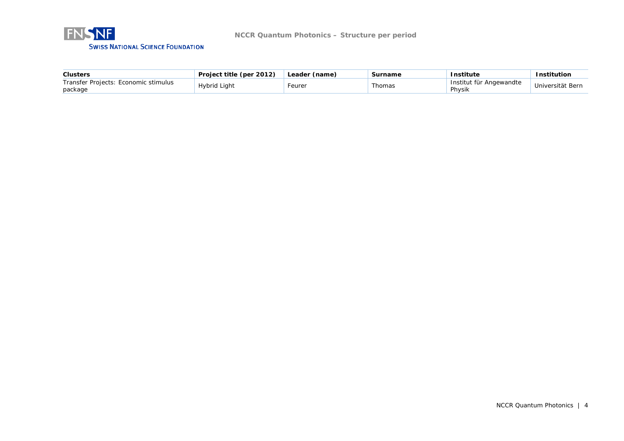

| <b>Clusters</b>                                 | Project title (per 2012) | Leader (name) | Surname | <b>Institute</b>                  | Institution      |
|-------------------------------------------------|--------------------------|---------------|---------|-----------------------------------|------------------|
| Transfer Projects: Economic stimulus<br>package | Hvbrid Liaht             | -eurer        | Thomas  | Institut für Angewandte<br>Physik | Universität Bern |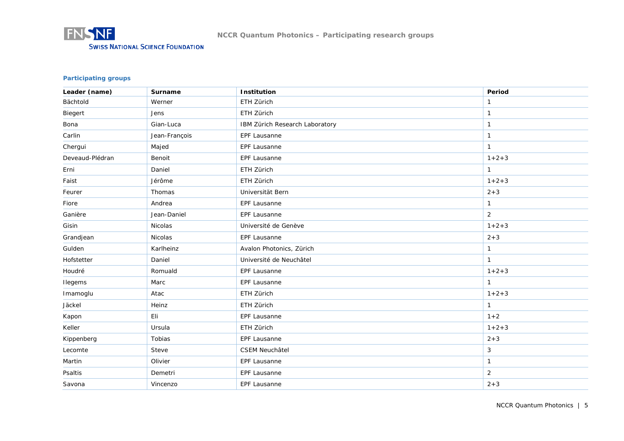

## **Participating groups**

| Leader (name)   | Surname       | Institution                    | Period         |
|-----------------|---------------|--------------------------------|----------------|
| Bächtold        | Werner        | ETH Zürich                     | $\mathbf{1}$   |
| Biegert         | Jens          | ETH Zürich                     | $\mathbf{1}$   |
| Bona            | Gian-Luca     | IBM Zürich Research Laboratory | $\mathbf{1}$   |
| Carlin          | Jean-François | EPF Lausanne                   | $\mathbf{1}$   |
| Chergui         | Majed         | EPF Lausanne                   | $\mathbf{1}$   |
| Deveaud-Plédran | Benoit        | EPF Lausanne                   | $1 + 2 + 3$    |
| Erni            | Daniel        | ETH Zürich                     | $\mathbf{1}$   |
| Faist           | Jérôme        | ETH Zürich                     | $1 + 2 + 3$    |
| Feurer          | Thomas        | Universität Bern               | $2 + 3$        |
| Fiore           | Andrea        | EPF Lausanne                   | $\mathbf{1}$   |
| Ganière         | Jean-Daniel   | EPF Lausanne                   | $\overline{2}$ |
| Gisin           | Nicolas       | Université de Genève           | $1 + 2 + 3$    |
| Grandjean       | Nicolas       | EPF Lausanne                   | $2 + 3$        |
| Gulden          | Karlheinz     | Avalon Photonics, Zürich       | $\mathbf{1}$   |
| Hofstetter      | Daniel        | Université de Neuchâtel        | $\mathbf{1}$   |
| Houdré          | Romuald       | EPF Lausanne                   | $1 + 2 + 3$    |
| Ilegems         | Marc          | <b>EPF Lausanne</b>            | $\mathbf{1}$   |
| Imamoglu        | Atac          | ETH Zürich                     | $1 + 2 + 3$    |
| Jäckel          | Heinz         | ETH Zürich                     | $\mathbf{1}$   |
| Kapon           | Eli           | <b>EPF Lausanne</b>            | $1 + 2$        |
| Keller          | Ursula        | ETH Zürich                     | $1 + 2 + 3$    |
| Kippenberg      | Tobias        | <b>EPF Lausanne</b>            | $2 + 3$        |
| Lecomte         | Steve         | <b>CSEM Neuchâtel</b>          | 3              |
| Martin          | Olivier       | EPF Lausanne                   | $\mathbf{1}$   |
| Psaltis         | Demetri       | EPF Lausanne                   | $\overline{2}$ |
| Savona          | Vincenzo      | EPF Lausanne                   | $2 + 3$        |

NCCR Quantum Photonics | 5